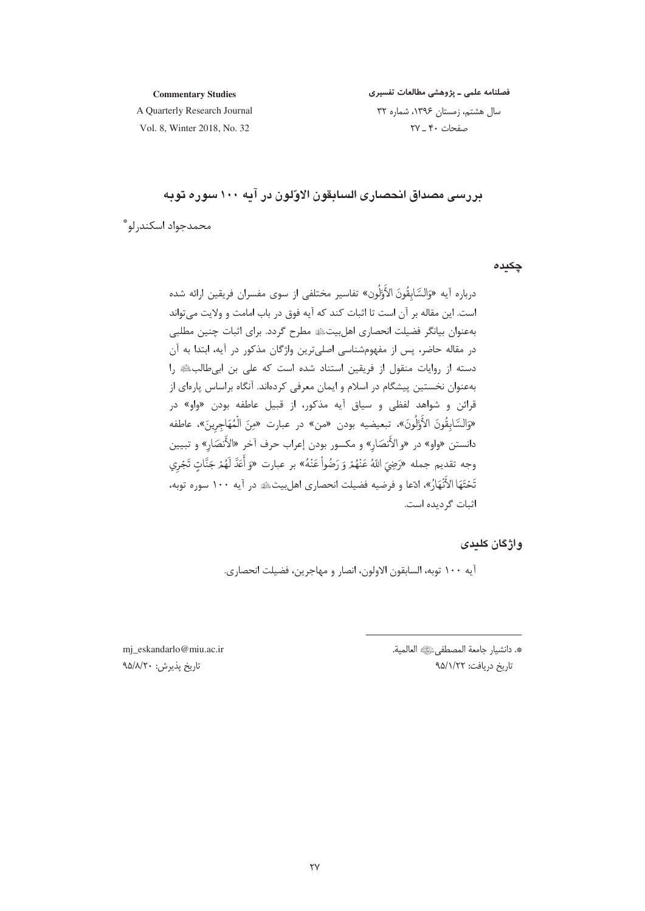#### **Commentary Studies**

فصلنامه علمی ـ پژوهشی مطالعات تفسیری

A Quarterly Research Journal Vol. 8, Winter 2018, No. 32

سال هشتم، زمستان ١٣٩۶، شماره ٣٢ صفحات ۴۰ ـ ۲۷

# بررسي مصداق انحصاري السابقون الاوّلون در آيه ١٠٠ سوره توبه

محمدجواد اسكندرلو \*

چکیدہ

# واژگان کلیدی

آيه ١٠٠ توبه، السابقون الاولون، انصار و مهاجرين، فضيلت انحصاري.

\*. دانشيار جامعة المصطفىءﷺ العالمية. تاريخ دريافت: ٩۵/١/٢٢

mj\_eskandarlo@miu.ac.ir تاريخ پذيرش: ٩۵/٨/٢٠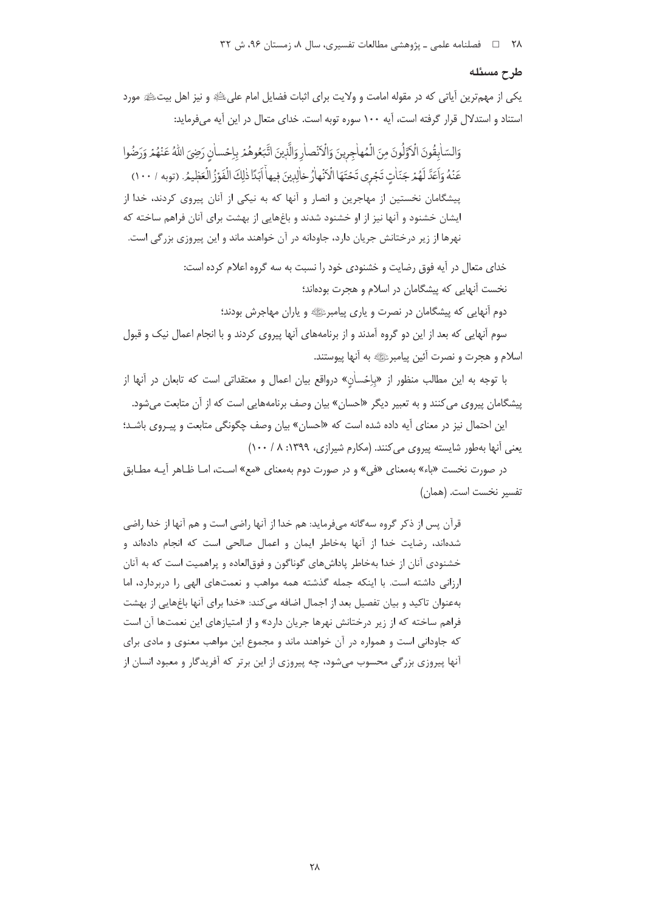#### طرح مسئله

یکی از مهمترین آیاتی که در مقوله امامت و ولایت برای اثبات فضایل امام علیﷺ و نیز اهل بیتﷺ مورد استناد و استدلال قرار گرفته است، آیه ۱۰۰ سوره توبه است. خدای متعال در این آیه می فرماید:

وَالسَّابِقُونَ الْأَوَّلُونَ مِنَ الْمُهاجِرِينَ وَالْأَنْصارِ وَالَّذِينَ اتَّبَعُوهُمْ بِإِحْسانِ رَضِيَ اللهُ عَنْهُمْ وَرَضُوا عَنْهُ وَاَعَدَّ لَهُمْ جَنّاتٍ تَجْرِي تَحْتَهَا الْأَنْهارُ خالِدِينَ فِيهاْ اَبَدَّا ذٰلِكَ الْفَوْزُ الْعَظِيمُ. (توبه ١٠٠/ ١٠٠) .<br>پیشگامان نخستین از مهاجرین و انصار و آنها که به نیکی از آنان پیروی کردند، خدا از ایشان خشنود و آنها نیز از او خشنود شدند و باغهایی از بهشت برای آنان فراهم ساخته که .<br>نهرها از زیر درختانش جریان دارد، جاودانه در آن خواهند ماند و این پیروزی بزرگی است.

> خدای متعال در آیه فوق رضایت و خشنودی خود را نسبت به سه گروه اعلام کرده است: نخست آنهایی که پیشگامان در اسلام و هجرت بودهاند؛

> > دوم آنهایی که پیشگامان در نصرت و پاری پیامبرﷺ و پاران مهاجرش بودند؛

سوم آنهایی که بعد از این دو گروه آمدند و از برنامههای آنها پیروی کردند و با انجام اعمال نیک و قبول اسلام و هجرت و نصرت آئین پیامبرﷺ به آنها پیوستند.

با توجه به این مطالب منظور از «باِحْساٰن» درواقع بیان اعمال و معتقداتی است که تابعان در آنها از پیشگامان پیروی می کنند و به تعبیر دیگر «احسان» بیان وصف برنامههایی است که از آن متابعت میشود.

این احتمال نیز در معنای آیه داده شده است که «احسان» بیان وصف چگونگی متابعت و پیـروی باشـد؛ یعنی آنها بهطور شایسته پیروی میکنند. (مکارم شیرازی، ۱۳۹۹: ۸/ ۱۰۰)

در صورت نخست «باء» بهمعنای «فی» و در صورت دوم بهمعنای «مع» است، امـا ظـاهر آیـه مطـابق تفسير نخست است. (همان)

قرآن پس از ذکر گروه سهگانه میفرماید: هم خدا از آنها راضی است و هم آنها از خدا راضی شدهاند، رضایت خدا از آنها بهخاطر ایمان و اعمال صالحی است که انجام دادهاند و خشنودی آنان از خدا بهخاطر پاداشهای گوناگون و فوق|لعاده و پراهمیت است که به آنان ارزانی داشته است. با اینکه جمله گذشته همه مواهب و نعمتهای الهی را دربردارد، اما بهعنوان تاكيد و بيان تفصيل بعد از اجمال اضافه مي *ك*ند: «خدا براي آنها باغهايي از بهشت فراهم ساخته که از زیر درختانش نهرها جریان دارد» و از امتیازهای این نعمتها آن است که جاودانی است و همواره در آن خواهند ماند و مجموع این مواهب معنوی و مادی برای آنها پیروزی بزرگی محسوب می شود، چه پیروزی از این برتر که آفریدگار و معبود انسان از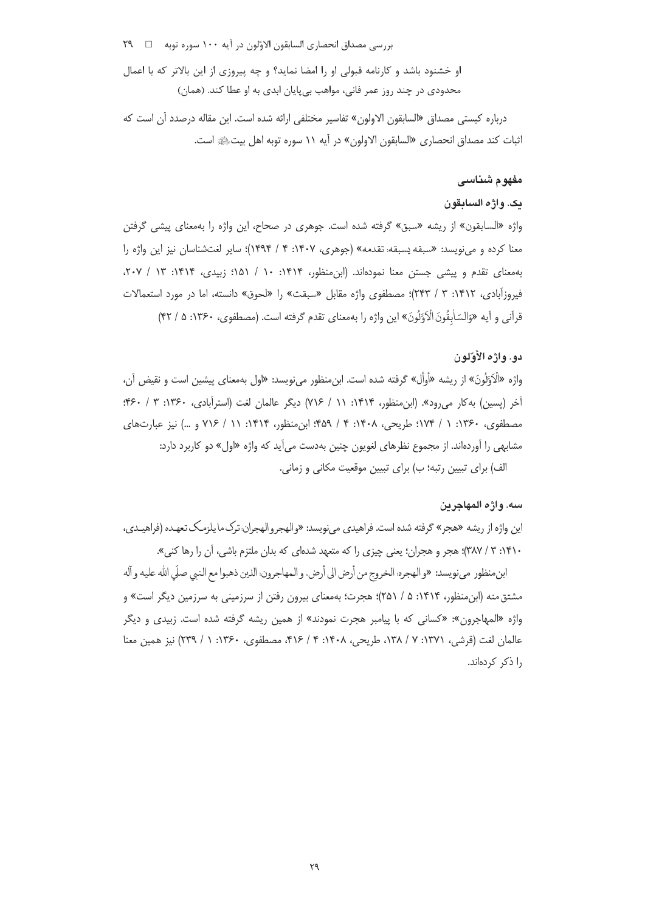بررسی مصداق انحصاری السابقون الاوّلون در آیه ۱۰۰ سوره توبه  $\Box$  ۲۹

او خشنود باشد و کارنامه قبولی او را امضا نماید؟ و چه پیروزی از این بالاتر که با اعمال محدودی در چند روز عمر فانی، مواهب بیپایان ابدی به او عطا کند. (همان)

درباره كيستى مصداق «السابقون الاولون» تفاسير مختلفى ارائه شده است. اين مقاله درصدد أن است كه ثبات كند مصداق انحصارى «السابقون الاولون» در أيه ١١ سوره توبه اهل بيتﷺ است.

### مفهوم ش**ن**اسی

#### يک. واژه الس**اب**قون

واژه «السابقون» از ریشه «سبق» گرفته شده است. جوهری در صحاح، این واژه را بهمعنای پیشی گرفتن معنا كرده و مىنويسد: «سبقه يسبقه تقدمه» (جوهرى، ١۴٠٧: ۴ / ١٣٩۴)؛ ساير لغتشناسان نيز اين واژه را بهمعنای تقدم و پیشی جستن معنا نمودهاند. (ابن.منظور، ۱۴۱۴: ۱۰ / ۱۵۱؛ زبیدی، ۱۴۱۴: ۲۰ / ۲۰۷، فیروزآبادی، ۱۴۱۲: ۳ / ۲۴۳)؛ مصطفوی واژه مقابل «سبقت» را «لحوق» دانسته، اما در مورد استعمالات قرآني و أيه «وَالسّاٰبِقُونَ الْاَوَّلُونَ» اين واژه را بهمعناي تقدم گرفته است. (مصطفوي، ۱۳۶۰: ۵ / ۴۲) v -

#### دو. واژه الأو*ت*لون

واژه «الْکَوَلُونَ» از ریشه «أوأل» گرفته شده است. ابنمنظور مینویسد: «اول بهمعنای پیشین است و نقیض آن، i -أخر (پسین) به کار میرود». (ابن.منظور، ۱۴۱۴: ۱۱ / ۷۱۶) دیگر عالمان لغت (استرأبادی، ۱۳۶۰: ۳ / ۴۶۰: مصطفوى، ١٣۶٠: ١ / ١٧۴؛ طريحي، ١۴٠٨: ۴ / ٩۵٩: ابن،منظور، ١٣١۴: ١١ / ٧١۶ و …) نيز عبارتهاى مشابهی را أوردهاند. از مجموع نظرهای لغویون چنین بهدست میأید که واژه «اول» دو کاربرد دارد: لف) برای تبیین رتبه؛ ب) برای تبیین موقعیت مکانی و زمانی.

#### سه. واژه المهاجرين

ين واژه از ريشه «هجر» گرفته شده است. فراهيدي مينويسد: «والهجروالهجران ترک مايلزمک تعهـده (فراهيـدي، ۰۴۱۰: ۳ / ۳۸۷)؛ هجر و هجران؛ یعنی چیزی را که متعهد شدهای که بدان ملتزم باشی، آن را رها کنی».

.<br>بنمنظور مي نويسد: «و الهجره: الخروج من أرض الي أرض. و المهاجرون: الذين ذهبوا مع النبي صلّي الله عليه و آله مشتق منه (ابن منظور، ۱۴۱۴: ۵ / ۲۵۱)؛ هجرت؛ بهمعنای بیرون رفتن از سرزمینی به سرزمین دیگر است» و واژه «المهاجرون»: «کسانی که با پیامبر هجرت نمودند» از همین ریشه گرفته شده است. زبیدی و دیگر عالمان لغت (قرشي، ١٣٧١: ٧ / ١٣٨، طريحي، ١۴٠٨: ۴ / ۴١۶، مصطفوى، ١٣۶٠: ١ / ٢٣٩) نيز همين معنا را ذکر کردهاند.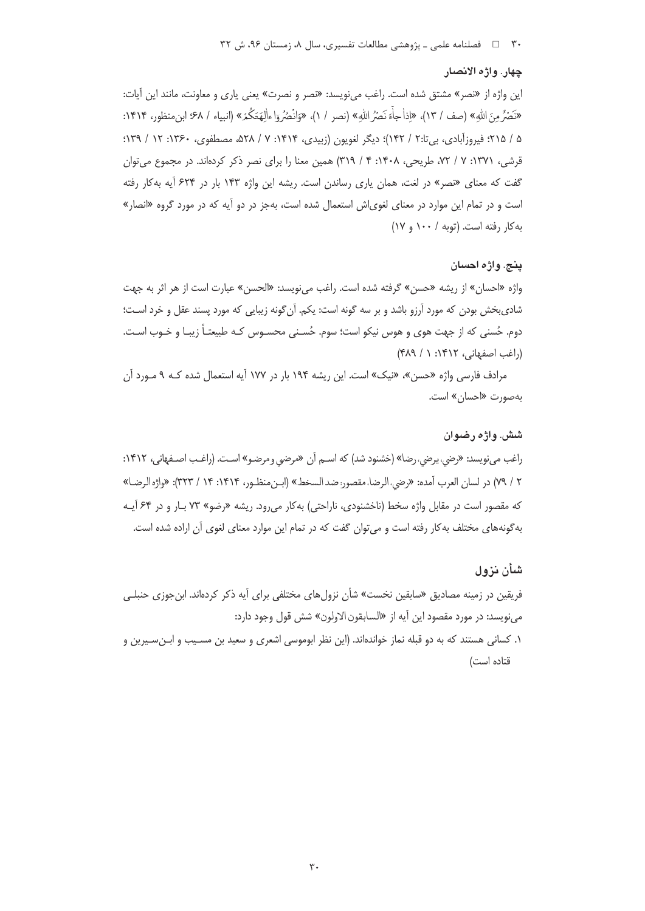## چهار. واژه الانصار

این واژه از «نصر» مشتق شده است. راغب مینویسد: «نصر و نصرت» یعنی یاری و معاونت، مانند این آیات: «نَصَرُّ مِنَ الله» (صف / ١٣)، «إذا جاءَ نَصَرُ الله» (نصر / ١)، «وَانْصُرُ وَا ءاٰلِهَةَكُمْ» (انبياء / ۶۸؛ ابن منظور، ١٣١۴: ۵ / ۲۱۵؛ فيروزآبادي، بيi۲ / ۱۴۲)؛ ديگر لغويون (زبيدي، ۱۴۱۴: ۷ / ۵۲۸، مصطفوي، ۱۳۶۰: ۱۲ / ۱۳۹؛ قرشی، ۱۳۷۱: ۷ / ۷۲، طریحی، ۱۴۰۸: ۴ / ۳۱۹) همین معنا را برای نصر ذکر کردهاند. در مجموع می توان گفت که معنای «نصر» در لغت، همان یاری رساندن است. ریشه این واژه ۱۴۳ بار در ۶۲۴ آیه بهکار رفته است و در تمام این موارد در معنای لغویاش استعمال شده است، بهجز در دو آیه که در مورد گروه «انصار» به کار رفته است. (توبه / ١٠٠ و ١٧)

## ينج. واژه احسان

واژه «احسان» از ریشه «حسن» گرفته شده است. راغب می نویسد: «الحسن» عبارت است از هر اثر به جهت شادیبخش بودن که مورد آرزو باشد و بر سه گونه است: یکم. آنگونه زیبایی که مورد پسند عقل و خرد است؛ دوم. حُسنى كه از جهت هوى و هوس نيكو است؛ سوم. حُسـنى محســوس كـه طبيعتـاً زيبـا و خــوب اســت. (راغب اصفهانی، ۱۴۱۲: ۱ / ۴۸۹)

مرادف فارسی واژه «حسن»، «نیک» است. این ریشه ۱۹۴ بار در ۱۷۷ آیه استعمال شده کـه ۹ مـورد آن بهصورت «احسان» است.

## شش. واژه رضوان

راغب می نویسد: «رضی، یرضی، رضا» (خشنود شد) که اسـم آن «مرضى و مرضـو» اسـت. (راغـب اصـفهانى، ١۴١٢: ٢ / ٧٩) در لسان العرب أمده: «رضي، الرضا، مقصور: ضد السخط» (ابـن منظـور، ١٤١٤: ١٤ / ٣٢٣): «واژه الرضـا» که مقصور است در مقابل واژه سخط (ناخشنودی، ناراحتی) به کار می رود. ریشه «رضو» ۷۳ بـار و در ۶۴ آیـه بهگونههای مختلف به کار رفته است و می توان گفت که در تمام این موارد معنای لغوی آن اراده شده است.

## شأن نزول

فریقین در زمینه مصادیق «سابقین نخست» شأن نزول های مختلفی برای آیه ذکر کردهاند. ابن جوزی حنبلـی مي نويسد: در مورد مقصود اين أيه از «السابقون الاولون» شش قول وجود دارد: ١. كساني هستند كه به دو قبله نماز خواندهاند. (اين نظر ابوموسى اشعرى و سعيد بن مسـيب و ابـنسـيرين و قتاده است)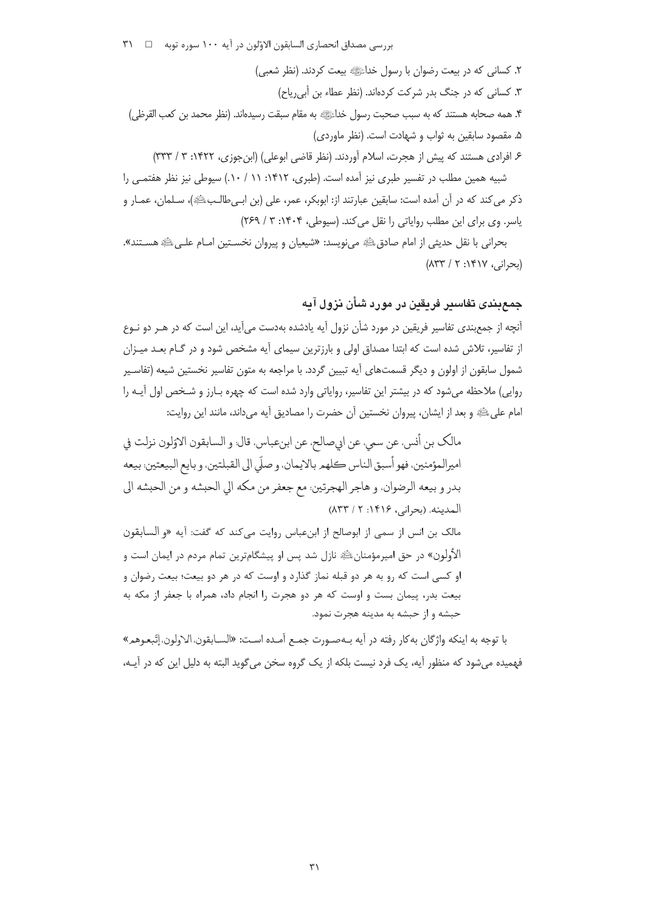بررسي مصداق انحصاري السابقون الاوّلون در آيه ١٠٠ سوره توبه □ ٣١٠

٢. كساني كه در بيعت رضوان با رسول خداءً!!! بيعت كردند. (نظر شعبي) ۳. کسانی که در جنگ بدر شرکت کردهاند. (نظر عطاء بن أبی ریاح) ۴. همه صحابه هستند که به سبب صحبت رسول خداءًﷺ به مقام سبقت رسیدهاند. (نظر محمد بن کعب القرظی) ۵. مقصود سابقین به ثواب و شهادت است. (نظر ماوردی) ۶. افرادی هستند که پیش از هجرت، اسلام آوردند. (نظر قاضی ابوعلی) (ابنِجوزی، ۱۴۲۲: ۳ / ۳۳۳) شبیه همین مطلب در تفسیر طبری نیز آمده است. (طبری، ۱۴۱۲: ۱۱ / ۱۰). سپوطی نیز نظر هفتمـی را ذكر مي كند كه در آن آمده است: سابقين عبارتند از: ابوبكر، عمر، على (بن ابـيطالـبﷺ)، سـلمان، عمـار و

یاسر. وی برای این مطلب روایاتی را نقل می کند. (سپوطی، ۱۴۰۴: ۳ / ۲۶۹)

بحراني با نقل حديثي از امام صادقﷺ ميiويسد: «شيعيان و پيروان نخسـتين امـام علـيﷺ هسـتند». (بحرانی، ۱۴۱۷: ۲ / ۸۳۳)

# جمع بندی تفاسیر فریقین در مورد شأن نزول آیه

آنچه از جمع بندی تفاسیر فریقین در مورد شأن نزول آیه یادشده بهدست می آید، این است که در هــر دو نــوع از تفاسیر، تلاش شده است که ابتدا مصداق اولی و بارزترین سیمای آیه مشخص شود و در گـام بعـد میـزان شمول سابقون از اولون و دیگر قسمتهای آیه تبیین گردد. با مراجعه به متون تفاسیر نخستین شیعه (تفاسـیر روایی) ملاحظه می شود که در بیشتر این تفاسیر، روایاتی وارد شده است که چهره بـارز و شـخص اول آیـه را امام على ﷺ و بعد از ايشان، پيروان نخستين آن حضرت را مصاديق آيه مي داند، مانند اين روايت:

مالك بن أنس، عن سمي، عن ابيصالح، عن ابنءباس، قال: و السابقون الاوّلون نزلت في اميرالمؤمنين، فهو أسبق الناس كلهم بالايمان، و صلَّى الى القبلتين، و بايع البيعتين: بيعه بدر و بيعه الرضوان، و هاجر الهجرتين: مع جعفر من مكه الى الحبشه و من الحبشه الى المدينه. (يحراني، ١٤١۶: ١٣٣/١) مالک بن انس از سمی از ابوصالح از ابنعباس روایت میکند که گفت: آیه «و السابقون الأولون» در حق اميرمؤمنانﷺ نازل شد پس او پيشگامترين تمام مردم در ايمان است و او کسی است که رو به هر دو قبله نماز گذارد و اوست که در هر دو بیعت؛ بیعت رضوان و بیعت بدر، پیمان بست و اوست که هر دو هجرت را انجام داد، همراه با جعفر از مکه به حبشه و از حبشه به مدينه هجرت نمود.

با توجه به اينكه واژگان بهكار رفته در آيه بـهصـورت جمـع آمـده اسـت: «السـابقون،الـاولون،إتّبعـوهمـ» فهمیده میشود که منظور آیه، یک فرد نیست بلکه از یک گروه سخن می گوید البته به دلیل این که در آیــه،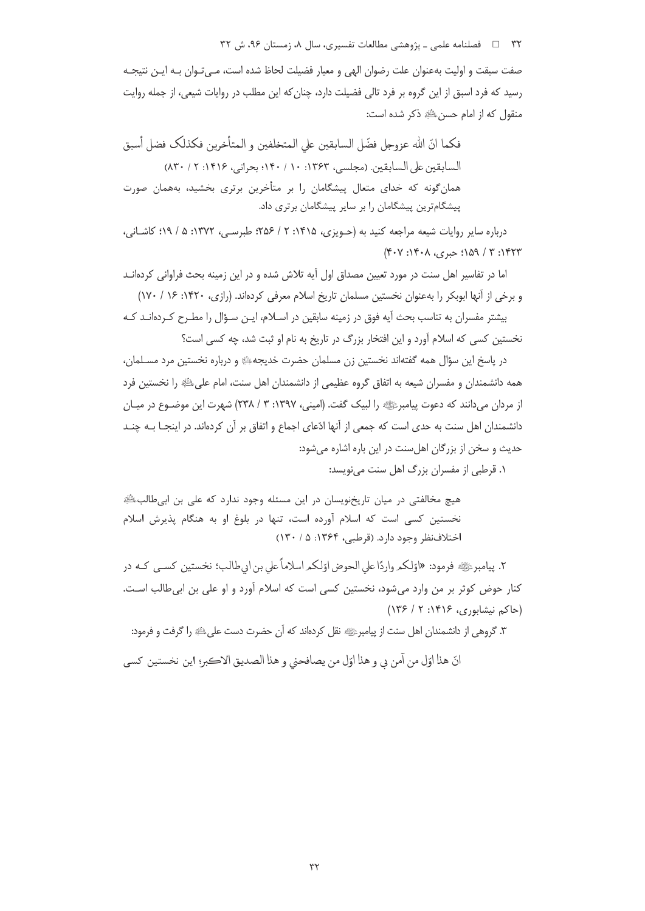۳۲ = د فصلنامه علمی ـ پژوهشی مطالعات تفسیری، سال ۸، زمستان ۹۶، ش ۳۲

صفت سبقت و اولیت بهعنوان علت رضوان الهی و معیار فضیلت لحاظ شده است، مـیتـوان بـه ایـن نتیجـه رسید که فرد اسبق از این گروه بر فرد تالی فضیلت دارد، چنان که این مطلب در روایات شیعی، از جمله روایت منقول كه از امام حسن ﷺ ذكر شده است:

فكما انّ الله عزوجل فضّل السابقين على المتخلفين و المتأخرين فكذلك فضل أسبق السابقين على السابقين. (مجلسي، ١٣۶٣: ١٠/ ١۴٠؛ بحراني، ١۴١۶: ٢/ ٨٣٠) همان گونه که خدای متعال پیشگامان را بر متأخرین برتری بخشید، بههمان صورت پیشگامترین پیشگامان را بر سایر پیشگامان برتری داد.

درباره سایر روایات شیعه مراجعه کنید به (جـویزی، ۱۴۱۵: ۲ / ۲۵۶؛ طبرسـی، ۱۳۷۲: ۵ / ۱۹؛ کاشـانی، ۱۴۲۳: ۳ / ۱۵۹؛ حبری، ۱۴۰۸: ۴۰۷)

اما در تفاسیر اهل سنت در مورد تعیین مصداق اول آیه تلاش شده و در این زمینه بحث فراوانی کردهانـد و برخی از آنها ابوبکر را بهعنوان نخستین مسلمان تاریخ اسلام معرفی کردهاند. (رازی، ۱۴۲۰: ۱۶ / ۱۷۰)

بیشتر مفسران به تناسب بحث آیه فوق در زمینه سابقین در اسـلام، ایـن سـؤال را مطـرح کـردهانـد کـه نخستین کسی که اسلام آورد و این افتخار بزرگ در تاریخ به نام او ثبت شد، چه کسی است؟

در پاسخ این سؤال همه گفتهاند نخستین زن مسلمان حضرت خدیجهﷺ و درباره نخستین مرد مسـلمان، همه دانشمندان و مفسران شیعه به اتفاق گروه عظیمی از دانشمندان اهل سنت، امام علیﷺ را نخستین فرد از مردان میدانند که دعوت پیامبرﷺ را لبیک گفت. (امینی، ۱۳۹۷: ۳ / ۲۳۸) شهرت این موضـوع در میـان دانشمندان اهل سنت به حدی است که جمعی از آنها ادّعای اجماع و اتفاق بر آن کردهاند. در اینجــا بــه چنــد حديث و سخن از بزرگان اهل سنت در اين باره اشاره می شود:

۱. قرطبی از مفسران بزرگ اهل سنت می نویسد:

هیچ مخالفتی در میان تاریخنویسان در این مسئله وجود ندارد که علی بن ابیطالبﷺ نخستین کسی است که اسلام آورده است، تنها در بلوغ او به هنگام پذیرش اسلام اختلاف نظر وجود دارد. (قرطبي، ۱۳۶۴: ۵ / ۱۳۰)

۲. پیامبرﷺ فرمود: «اوّلکم واردًا على الحوض اوّلکم اسلاماً على بن ابي طالب؛ نخستين كسـي كـه در کنار حوض کوثر بر من وارد میشود، نخستین کسی است که اسلام آورد و او علی بن ابی طالب است. (حاکم نیشابوری، ۱۴۱۶: ۲ / ۱۳۶)

٣. گروهي از دانشمندان اهل سنت از پيامبرﷺ نقل كردهاند كه آن حضرت دست علىﷺ را گرفت و فرمود:

انّ هذا اوّل من أمن بي و هذا اوّل من يصافحني و هذا الصديق الاكبر؛ اين نخستين كسي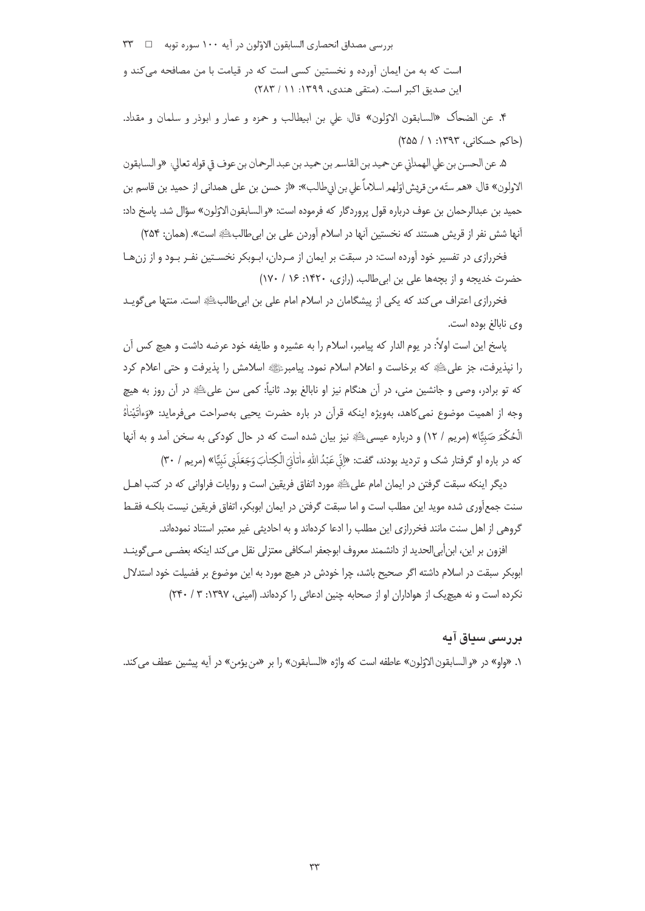بررسي مصداق انحصاري السابقون الاوّلون در آيه ١٠٠ سوره توبه □ ٣٣

است که به من ایمان آورده و نخستین کسی است که در قیامت با من مصافحه میکند و این صدیق اکبر است. (متقی هندی، ۱۳۹۹: ۲۸۲ / ۲۸۳)

۴. عن الضحاك «السابقون الاؤلون» قال: على بن ابيطالب و حمزه و عمار و ابوذر و سلمان و مقداد. (حاکم حسکانی، ۱۳۹۳: ۱ / ۲۵۵)

۵. عن الحسن بن على الهمداني عن حميد بن القاسم بن حميد بن عبد الرحمان بن عوف قي قوله تعالى: «و السابقون الاولون» قال: «هم ستّه من قريش اوّلهم اسلاماً على بن ابيطالب»: «از حسن بن علي همداني از حميد بن قاسم بن حميد بن عبدالرحمان بن عوف درباره قول پروردگار كه فرموده است: «و السابقون الاوّلون» سؤال شد. پاسخ داد: أنها شش نفر از قريش هستند كه نخستين آنها در اسلام آوردن على بن ابي طالبﷺ است». (همان: ٢۵۴)

فخررازی در تفسیر خود آورده است: در سبقت بر ایمان از مـردان، ابـوبکر نخسـتین نفـر بـود و از زن هـا حضرت خدیجه و از بچهها علی بن ابی طالب. (رازی، ۱۴۲۰: ۱۶ / ۱۷۰)

فخررازی اعتراف می کند که یکی از پیشگامان در اسلام امام علی بن ابیطالبﷺ است. منتها می گویـد وي نابالغ بوده است.

ياسخ اين است اولاً: در يوم الدار كه پيامبر، اسلام را به عشيره و طايفه خود عرضه داشت و هيچ كس آن را نپذیرفت، جز علیﷺ که برخاست و اعلام اسلام نمود. پیامبرﷺ اسلامش را پذیرفت و حتی اعلام کرد که تو برادر، وصی و جانشین منی، در آن هنگام نیز او نابالغ بود. ثانیاً: کمی سن علیﷺ در آن روز به هیچ وجه از اهمیت موضوع نمی کاهد، بهویژه اینکه قرآن در باره حضرت یحیی بهصراحت میفرماید: «وَءاٰتَیْناٰهُ الْحُكْمَ صَبِيًّا» (مريم / ١٢) و درباره عيسىﷺ نيز بيان شده است كه در حال كودكي به سخن آمد و به آنها که در باره او گرفتار شک و تردید بودند، گفت: «إِنِّي عَبُدُاللَّهِ ءاٰتاٰذِيَ الْکِتاٰبَ وَجَعَلَنِي نَبِيًّا» (مريم / ٣٠)

دیگر اینکه سبقت گرفتن در ایمان امام علیﷺ مورد اتفاق فریقین است و روایات فراوانی که در کتب اهــل سنت جمع[وری شده موید این مطلب است و اما سبقت گرفتن در ایمان ابوبکر، اتفاق فریقین نیست بلکـه فقـط گروهی از اهل سنت مانند فخررازی این مطلب را ادعا کردهاند و به احادیثی غیر معتبر استناد نمودهاند.

افزون بر این، ابنأبی|لحدید از دانشمند معروف ابوجعفر اسکافی معتزلی نقل می کند اینکه بعضـی مـی6وینـد ابوبکر سبقت در اسلام داشته اگر صحیح باشد، چرا خودش در هیچ مورد به این موضوع بر فضیلت خود استدلال نکرده است و نه هیچیک از هواداران او از صحابه چنین ادعائی را کردهاند. (امینی، ۱۳۹۷: ۳ / ۲۴۰)

## پررسے سیاق آیه

١. «واو» در «والسابقون|لاوّلون» عاطفه است كه واژه «السابقون» را بر «من يؤمن» در آيه پيشين عطف مي كند.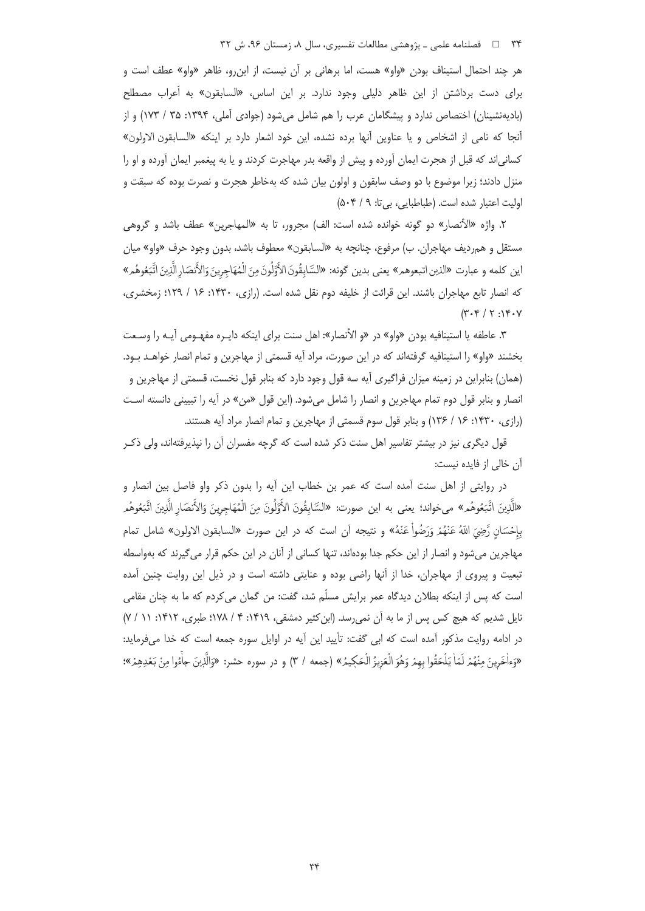۳۴ = فصلنامه علمی ـ پژوهشی مطالعات تفسیری، سال ۸، زمستان ۹۶، ش ۳۲

هر چند احتمال استیناف بودن «واو» هست، اما برهانی بر آن نیست، از این رو، ظاهر «واو» عطف است و براي دست برداشتن از اين ظاهر دليلي وجود ندارد. بر اين اساس، «السابقون» به اَعراب مصطلح (بادیهنشینان) اختصاص ندارد و پیشگامان عرب را هم شامل میشود (جوادی آملی، ۱۳۹۴: ۲۵ / ۱۷۳) و از أنجا كه نامي از اشخاص و يا عناوين أنها برده نشده، اين خود اشعار دارد بر اينكه «السابقون الاولون» کسانی|ند که قبل از هجرت ایمان آورده و پیش از واقعه بدر مهاجرت کردند و یا به پیغمبر ایمان آورده و او را منزل دادند؛ زیرا موضوع با دو وصف سابقون و اولون بیان شده که بهخاطر هجرت و نصرت بوده که سبقت و اولیت اعتبار شده است. (طباطبایی، بی تا: ۵۰۴/۹)

۲. واژه «الأنصار» دو گونه خوانده شده است: الف) مجرور، تا به «المهاجرین» عطف باشد و گروهی مستقل و همرديف مهاجران. ب) مرفوع، چنانچه به «السابقون» معطوف باشد، بدون وجود حرف «واو» ميان اين كلمه و عبارت «الذين اتبعوهم» يعني بدين گونه: «السَّابِقُونَ الأَوَّلُونَ مِنَ الْمُهَاجِرِينَ وَالأَنصَار الَّذِينَ اتَّبَعُوهُمِ» که انصار تابع مهاجران باشند. این قرائت از خلیفه دوم نقل شده است. (رازی، ۱۴۳۰: ۱۶ / ۱۲۹؛ زمخشری،  $(Y \cdot Y / Y : Y \cdot Y$ 

٣. عاطفه يا استينافيه بودن «واو» در «و الأنصار»: اهل سنت براي اينكه دايـره مفهـومي آيـه را وسـعت بخشند «واو» را استينافيه گرفتهاند كه در اين صورت، مراد آيه قسمتي از مهاجرين و تمام انصار خواهـد بـود. (همان) بنابراین در زمینه میزان فراگیری آیه سه قول وجود دارد که بنابر قول نخست، قسمتی از مهاجرین و انصار و بنابر قول دوم تمام مهاجرین و انصار را شامل می شود. (این قول «من» در آیه را تبیینی دانسته است (رازی، ۱۴۳۰: ۱۶ / ۱۳۶) و بنابر قول سوم قسمتی از مهاجرین و تمام انصار مراد آیه هستند.

قول دیگری نیز در بیشتر تفاسیر اهل سنت ذکر شده است که گرچه مفسران آن را نپذیرفتهاند، ولی ذکـر آن خالی از فایده نیست:

در روایتی از اهل سنت آمده است که عمر بن خطاب این آیه را بدون ذکر واو فاصل بین انصار و «الَّذِينَ اتَّبَعُوهُمِ» ميخواند؛ يعني به اين صورت: «السَّابِقُونَ الأَوَّلُونَ مِنَ الْمُهَاجِرِينَ وَالأنصَار الَّذِينَ اتَّبَعُوهُمِ بِإِحْسَانٍ رَّضِيَ اللَّهُ عَنْهُمْ وَرَضُواْ عَنْهُ» و نتيجه أن است كه در اين صورت «السابقون الاولون» شامل تمام مهاجرین می شود و انصار از این حکم جدا بودهاند، تنها کسانی از آنان در این حکم قرار می گیرند که بهواسطه تبعیت و پیروی از مهاجران، خدا از آنها راضی بوده و عنایتی داشته است و در ذیل این روایت چنین آمده است که پس از اینکه بطلان دیدگاه عمر برایش مسلّم شد، گفت: من گمان میکردم که ما به چنان مقامی نایل شدیم که هیچ کس پس از ما به آن نمی رسد. (ابن کثیر دمشقی، ۱۴۱۹: ۴ / ۱۷۸؛ طبری، ۱۴۱۲: ۱۱ / ۷) در ادامه روایت مذکور آمده است که ابی گفت: تأیید این آیه در اوایل سوره جمعه است که خدا میفرماید: «وَءاٰخَرِينَ مِنْهُمْ لَمَاٰ يَلْحَقُوا بِهِمْ وَهُوَ الْعَزِيزُ الْحَكِيمُ» (جمعه / ٣) و در سوره حشر: «وَالّذينَ جاْءُوا مِنْ بَعْدِهِمْ»؛

 $\tau$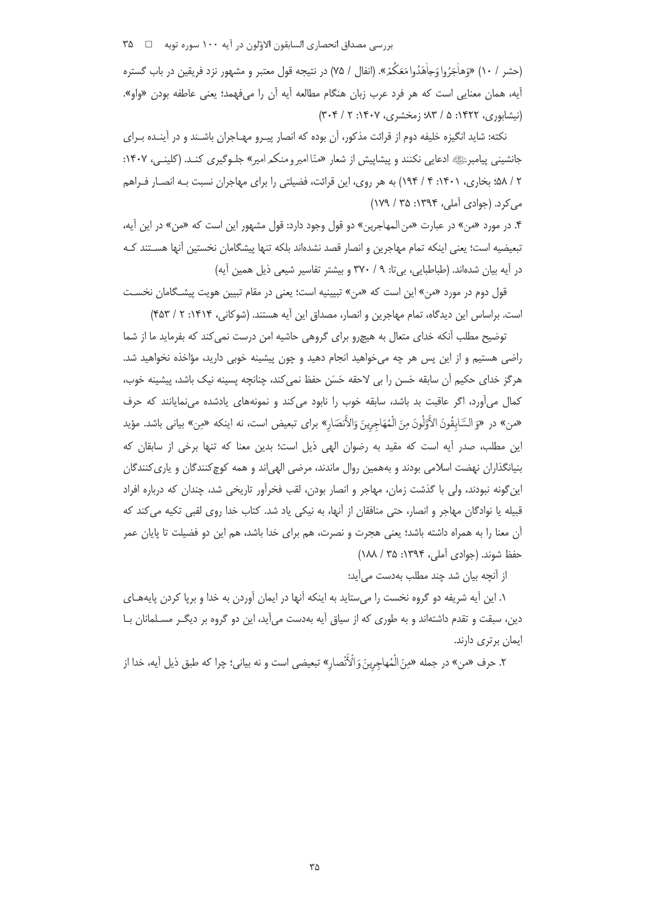بررسي مصداق انحصاري السابقون الاوّلون در آيه ١٠٠ سوره توبه □ ٣۵ ^٣

(حشر / ١٠) «وَهاْجَرُوا وَجاْهَدُوا مَعَكُمْ». (انفال / ٧۵) در نتيجه قول معتبر و مشهور نزد فريقين در باب گستره آيه، همان معنايي است كه هر فرد عرب زبان هنگام مطالعه آيه آن را ميفهمد؛ يعني عاطفه بودن «واو». (نیشابوری، ۱۴۲۲: ۵ / ۸۳؛ زمخشری، ۱۴۰۷: ۲ / ۳۰۴)

نکته: شاید انگیزه خلیفه دوم از قرائت مذکور، آن بوده که انصار پیـرو مهـاجران باشـند و در آینـده بـرای جانشینی پیامبرﷺ ادعایی نکنند و پیشاپیش از شعار «منّا امیرومنکمرامیر» جلـوگیری کنـد. (کلینـم)، ۱۴۰۷: ۲ / ۵۸؛ بخاری، ۱۴۰۱: ۴ / ۱۹۴) به هر روی، این قرائت، فضیلتی را برای مهاجران نسبت بـه انصـار فـراهم می کرد. (جوادی آملی، ۱۳۹۴: ۲۵ / ۱۷۹)

۴. در مورد «من» در عبارت «من المهاجرين» دو قول وجود دارد: قول مشهور اين است كه «من» در اين أيه، تبعيضيه است؛ يعني اينكه تمام مهاجرين و انصار قصد نشدهاند بلكه تنها پيشگامان نخستين آنها هسـتند كـه در آیه بیان شدهاند. (طباطبایی، بیتا: ۹ / ۳۷۰ و بیشتر تفاسیر شیعی ذیل همین آیه)

قول دوم در مورد «من» این است که «من» تبیینیه است؛ یعنی در مقام تبیین هویت پیشگامان نخسـت است. براساس این دیدگاه، تمام مهاجرین و انصار، مصداق این آیه هستند. (شوکانی، ۱۴۱۴: ۲ / ۴۵۳)

توضیح مطلب آنکه خدای متعال به هیچرو برای گروهی حاشیه امن درست نمی کند که بفرماید ما از شما راضی هستیم و از این پس هر چه میخواهید انجام دهید و چون پیشینه خوبی دارید، مؤاخذه نخواهید شد. هرگز خدای حکیم آن سابقه حَسن را بی لاحقه حَسَن حفظ نمی کند، چنانچه پسینه نیک باشد، پیشینه خوب، کمال میآورد، اگر عاقبت بد باشد، سابقه خوب را نابود می کند و نمونههای یادشده می نمایانند که حرف «من» در «وَ السَّابِقُونَ الأَوَّلُونَ مِنَ الْمُهَاجِرِينَ وَالأَنصَارِ» براي تبعيض است، نه اينكه «مِن» بياني باشد. مؤيد این مطلب، صدر آیه است که مقید به رضوان الهی ذیل است؛ بدین معنا که تنها برخی از سابقان که بنیانگذاران نهضت اسلامی بودند و بههمین روال ماندند، مرضی الهی|ند و همه کوچکنندگان و پاریکنندگان این گونه نبودند، ولی با گذشت زمان، مهاجر و انصار بودن، لقب فخرآور تاریخی شد، چندان که درباره افراد قبیله یا نوادگان مهاجر و انصار، حتی منافقان از آنها، به نیکی یاد شد. کتاب خدا روی لقبی تکیه می کند که آن معنا را به همراه داشته باشد؛ یعنی هجرت و نصرت، هم برای خدا باشد، هم این دو فضیلت تا پایان عمر حفظ شوند. (حوادي آملي، ١٣٩۴: ١٨٨ / ١٨٨)

از آنچه بیان شد چند مطلب بهدست می آید:

۱. این آیه شریفه دو گروه نخست را میستاید به اینکه آنها در ایمان آوردن به خدا و برپا کردن پایههـای دین، سبقت و تقدم داشتهاند و به طوری که از سیاق آیه بهدست میآید، این دو گروه بر دیگـر مسـلمانان بـا ایمان برتری دارند.

٢. حرف «من» در جمله «مِنَ الْمُهاجِرِينَ وَالْأَنْصارِ» تبعيضي است و نه بياني؛ چرا كه طبق ذيل أيه، خدا از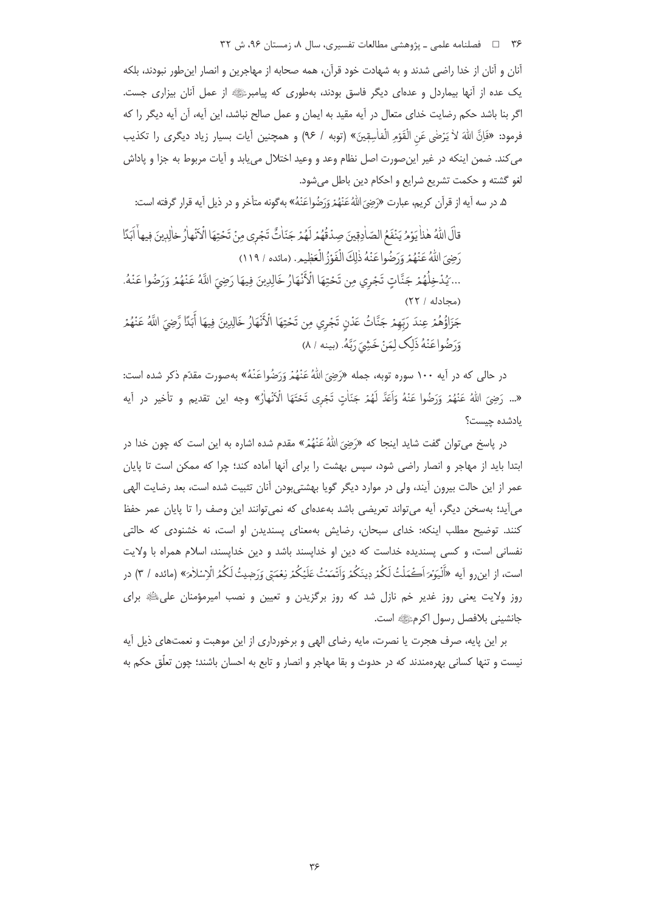۳۶ = فصلنامه علمی ـ پژوهشی مطالعات تفسیری، سال ۸، زمستان ۹۶، ش ۳۲

آنان و آنان از خدا راضی شدند و به شهادت خود قرآن، همه صحابه از مهاجرین و انصار اینطور نبودند، بلکه یک عده از آنها بیماردل و عدهای دیگر فاسق بودند، بهطوری که پیامبرﷺ از عمل آنان بیزاری جست. اگر بنا باشد حکم رضایت خدای متعال در آیه مقید به ایمان و عمل صالح نباشد، این آیه، آن آیه دیگر را که فرمود: «فَإِنَّ اللَّهَ لاٰ يَرْضَى عَنِ الْقَوْمِ الْفَاٰسِقِينَ» (توبه / ٩۶) و همچنين آيات بسيار زياد ديگري را تكذيب می کند. ضمن اینکه در غیر این صورت اصل نظام وعد و وعید اختلال می یابد و آیات مربوط به جزا و پاداش لغو گشته و حکمت تشریع شرایع و احکام دین باطل می شود.

۵. در سه آیه از قرآن کریم، عبارت «رَضِيَ اللَّهُ عَنْهُمْ وَرَضُواعَنْهُ» بهگونه متأخر و در ذیل آیه قرار گرفته است:

قالَ اللهُ هٰذاٰ يَوْمُ يَنْفَعُ الصّاٰدِقِينَ صِدْقُهُمْ لَهُمْ جَنّاٰتٌ تَجْرِي مِنْ تَحْتِهَا الْأنهارُ خالِبينَ فِيهاْ اَبَدًا دَضِيَ اللَّهُ عَنْهُمْ وَدَضُوا عَنْهُ ذٰلِكَ الْفَوْزُ الْعَظِيمِ. (مائده / ١١٩) ... يُدْخِلُهُمْ جَنَّاتٍ تَجْري مِن تَحْتِهَا الْأَنْهَارُ خَالِدِينَ فِيهَا رَضِيَ اللَّهُ عَنْهُمْ وَرَضُوا عَنْهُ. (محادله / ٢٢) جَزَاؤُهُمْ عِندَ رَبِّهِمْ جَنَّاتُ عَدْنٍ تَجْرِي مِن تَحْتِهَا الْأَنْهَارُ خَالِدِينَ فِيهَا أَبَدًا رَّضِيَ اللَّهُ عَنْهُمْ وَرَضُواعَنْهُ ذَلِكَ لِمَنْ خَشِيَ رَبَّهُ. (بينه / ٨)

در حالي كه در آيه ۱۰۰ سوره توبه، جمله «رَضِيَ اللّهُ عَنْهُمْ وَرَضُوا عَنْهُ» بهصورت مقدّم ذكر شده است: «... رَضِيَ اللَّهُ عَنْهُمْ وَرَضُوا عَنْهُ وَاَعَدَّ لَهُمْ جَنَّاتٍ تَجْرِي تَحْتَهَا الْأَنْهارُ» وجه اين تقديم و تأخير در آيه يادشده چيست؟

در پاسخ می¤وان گفت شاید اینجا که «رَضِیَ اللّٰهُ عَنْهُمْ» مقدم شده اشاره به این است که چون خدا در ابتدا باید از مهاجر و انصار راضی شود، سپس بهشت را برای آنها آماده کند؛ چرا که ممکن است تا پایان عمر از این حالت بیرون آیند، ولی در موارد دیگر گویا بهشتی،بودن آنان تثبیت شده است، بعد رضایت الهی می آید؛ بهسخن دیگر، آیه می تواند تعریضی باشد بهعدهای که نمی توانند این وصف را تا پایان عمر حفظ کنند. توضیح مطلب اینکه: خدای سبحان، رضایش بهمعنای پسندیدن او است، نه خشنودی که حالتی نفسانی است، و کسی پسندیده خداست که دین او خداپسند باشد و دین خداپسند، اسلام همراه با ولایت است، از این و آیه «أَلْیَوْمَرَاَڪْمَلْتُ لَکُمْ دِینَکُمْ وَاَتْمَمْتُ عَلَیْکُمْ نِعْمَتِی وَرَضِیتُ لَکُمُ الْاسْلاٰمَ» (مائده / ۳) در روز ولایت یعنی روز غدیر خم نازل شد که روز برگزیدن و تعیین و نصب امیرمؤمنان علیﷺ برای جانشيني بلافصل رسول اكرمﷺ است.

بر این پایه، صرف هجرت یا نصرت، مایه رضای الهی و برخورداری از این موهبت و نعمتهای ذیل آیه نیست و تنها کسانی بهرهمندند که در حدوث و بقا مهاجر و انصار و تابع به احسان باشند؛ چون تعلّق حکم به

 $\forall \xi$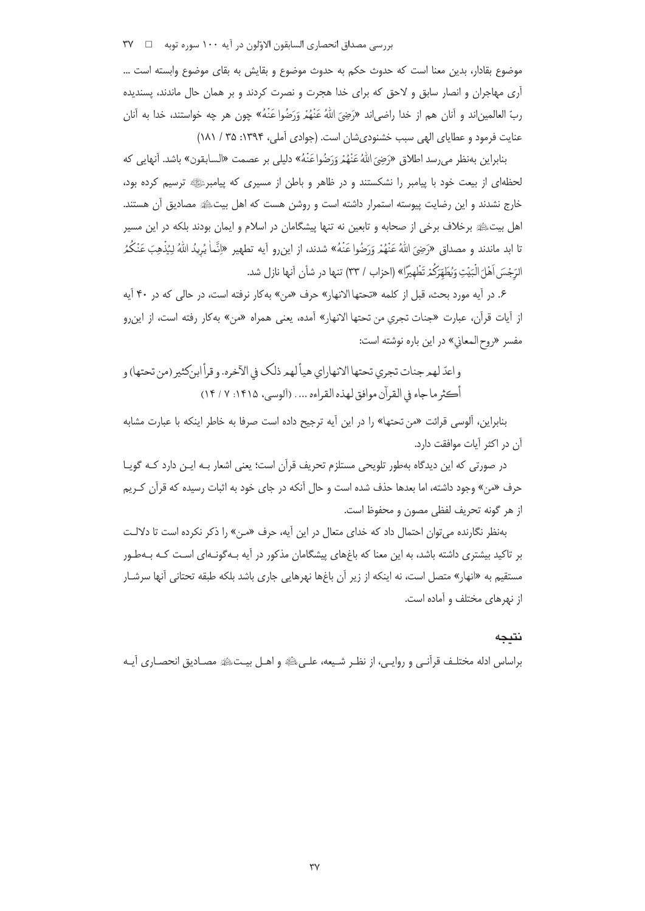بررسي مصداق انحصاري السابقون الاوّلون در آيه ١٠٠ سوره توبه □ ٣٧

موضوع بقادار، بدین معنا است که حدوث حکم به حدوث موضوع و بقایش به بقای موضوع وابسته است … آری مهاجران و انصار سابق و لاحق که برای خدا هجرت و نصرت کردند و بر همان حال ماندند، پسندیده ربِّ العالمين|ند و آنان هم از خدا راضي|ند «رَضِيَ اللَّهُ عَنْهُمْ وَرَضُوا عَنْهُ» چون هر چه خواستند، خدا به آنان عنایت فرمود و عطایای الهی سبب خشنودی شان است. (جوادی آملی، ۱۳۹۴: ۲۵ / ۱۸۱)

بنابراين بەنظر مى رسد اطلاق «رَضِيَ اللَّهُ عَنْهُمْ وَرَضُواعَنْهُ» دليلى بر عصمت «السابقون» باشد. آنهايي كه لحظهای از بیعت خود با پیامبر را نشکستند و در ظاهر و باطن از مسیری که پیامبرﷺ ترسیم کرده بود، خارج نشدند و این رضایت پیوسته استمرار داشته است و روشن هست که اهل بیتﷺ مصادیق اًن هستند. اهل بیتﷺ برخلاف برخی از صحابه و تابعین نه تنها پیشگامان در اسلام و ایمان بودند بلکه در این مسیر تا ابد ماندند و مصداق «رَضِيَ اللهُ عَنْهُمْ وَرَضُوا عَنْهُ» شدند، از اين٫و آيه تطهير «إنَّماْ يُرِيدُ اللهُ لِيُذْهِبَ عَنْكُمُ الرِّجْسَ أَهْلَ الْبَيْتِ وَيُطَهِّرَكُمْ تَظْهِيرًا» (احزاب / ٣٣) تنها در شأن آنها نازل شد.

۶. در آیه مورد بحث، قبل از کلمه «تحتها الانهار» حرف «من» بهکار نرفته است، در حالی که در ۴۰ آیه از آيات قرآن، عبارت «جنات تجري من تحتها الانهار» آمده، يعني همراه «من» بهكار رفته است، از اين رو مفسر «روح المعاني» در اين باره نوشته است:

و اعدّ لهمر جنات تجري تحتها الانهاراي هيأ لهمر ذلك في الآخره. و قرأ ابن كثير (من تحتها) و أكثر ما جاء في القرآن موافق لهذه القراءه ... . (آلوسي، ١٤١۵: ٧ / ١۴)

بنابراین، آلوسی قرائت «من تحتها» را در این آیه ترجیح داده است صرفا به خاطر اینکه با عبارت مشابه آن در اکثر آیات موافقت دارد.

در صورتی که این دیدگاه بهطور تلویحی مستلزم تحریف قرآن است؛ یعنی اشعار بـه ایـن دارد کـه گویـا حرف «من» وجود داشته، اما بعدها حذف شده است و حال آنکه در جای خود به اثبات رسیده که قرآن کـریم از هر گونه تحريف لفظي مصون و محفوظ است.

بهنظر نگارنده می توان احتمال داد که خدای متعال در این آیه، حرف «مـن» را ذکر نکرده است تا دلالـت بر تاکید بیشتری داشته باشد، به این معنا که باغهای پیشگامان مذکور در آیه بـهگونـهای اسـت کـه بـهطـور مستقیم به «انهار» متصل است، نه اینکه از زیر آن باغها نهرهایی جاری باشد بلکه طبقه تحتانی آنها سرشـار از نهرهای مختلف و آماده است.

#### نتيجه

براساس ادله مختلـف قرآنـي و روايـي، از نظـر شـيعه، علـيﷺ و اهـل بيـتﷺ مصـاديق انحصـاري آيـه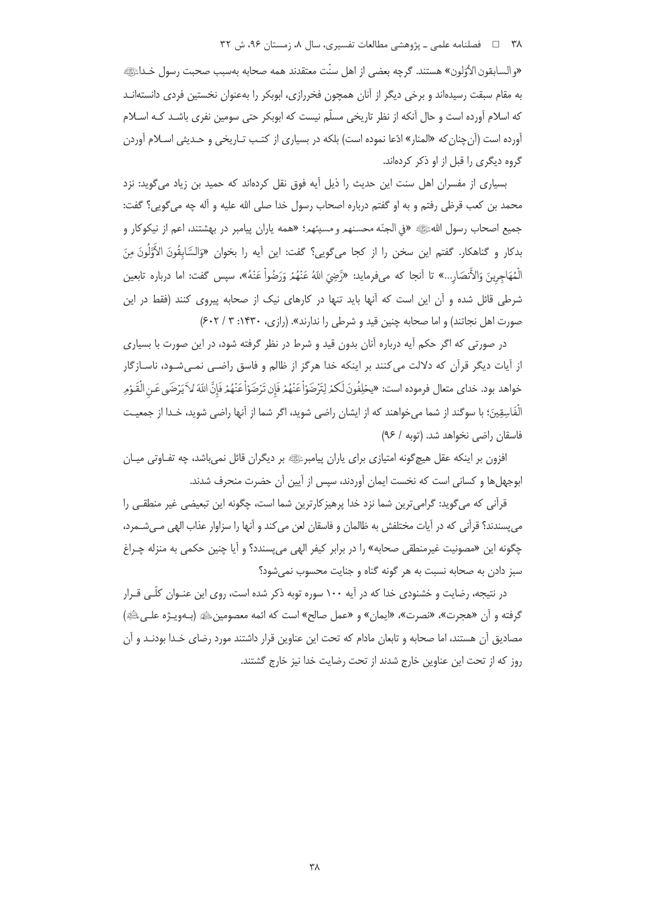#### ۳۸ = د فصلنامه علمی ـ پژوهشی مطالعات تفسیری، سال ۸، زمستان ۹۶، ش ۳۲

«والسابقون الأوّلون» هستند. گرچه بعضي از اهل سنّت معتقدند همه صحابه بهسبب صحبت رسول خـداءًﷺ. به مقام سبقت رسیدهاند و برخی دیگر از آنان همچون فخررازی، ابوبکر را بهعنوان نخستین فردی دانستهانـد که اسلام آورده است و حال آنکه از نظر تاریخی مسلّم نیست که ابوبکر حتی سومین نفری باشـد کـه اسـلام آورده است (آن چنان که «المنار» ادّعا نموده است) بلکه در بسیاری از کتـب تـاریخی و حـدیثی اسـلام آوردن گروه دیگری را قبل از او ذکر کردهاند.

بسیاری از مفسران اهل سنت این حدیث را ذیل آیه فوق نقل کردهاند که حمید بن زیاد می گوید: نزد محمد بن كعب قرظى رفتم و به او گفتم درباره اصحاب رسول خدا صلى الله عليه و آله چه مىگويى؟ گفت: جميع اصحاب رسول اللهﷺ «في الجنّه محسنهم و مسيئهم؛ «همه ياران پيامبر در بهشتند، اعم از نيكوكار و بدكار و گناهكار. گفتم اين سخن را از كجا ميگويي؟ گفت: اين آيه را بخوان «وَالسَّابِقُونَ الأُوَّلُونَ مِنَ الْمُهَاجِرِينَ وَالأَنصَارِ...» تا أنجا كه ميفومايد: «رَّضِيَ اللّهُ عَنْهُمْ وَرَضُواْ عَنْهُ»، سيس گفت: اما درباره تابعين شرطی قائل شده و آن این است که آنها باید تنها در کارهای نیک از صحابه پیروی کنند (فقط در این صورت اهل نجاتند) و اما صحابه چنین قید و شرطی را ندارند». (رازی، ۱۴۳۰: ۳ / ۶۰۲)

در صورتی که اگر حکم آیه درباره آنان بدون قید و شرط در نظر گرفته شود، در این صورت با بسیاری از آیات دیگر قرآن که دلالت می کنند بر اینکه خدا هرگز از ظالم و فاسق راضی نمیشود، ناسـازگار خواهد بود. خداي متعال فرموده است: «يحْلِفُونَ لَكمْ لِتَرْضَوْأَعَنْهُمْ فَإِن تَرْضَوْأَعَنْهُمْ فَإِنَّ اللّهَ لاَ يَرْضَى عَنِ الْقَـوْمِ الْفَاسِقِينَ؛ با سوگند از شما می خواهند که از ایشان راضی شوید، اگر شما از آنها راضی شوید، خـدا از جمعیـت فاسقان راضی نخواهد شد. (توبه / ۹۶)

افزون بر اینکه عقل هیچگونه امتیازی برای پاران پیامبرﷺ بر دیگران قائل نمی،باشد، چه تفـاوتی میـان ابوجهلها و کسانی است که نخست ایمان آوردند، سپس از آیین آن حضرت منحرف شدند.

قرآنی که می گوید: گرامیترین شما نزد خدا پرهیزکارترین شما است، چگونه این تبعیضی غیر منطقی را می پسندند؟ قرآنی که در آیات مختلفش به ظالمان و فاسقان لعن می کند و آنها را سزاوار عذاب الهی مـیشـمرد، چگونه اين «مصونيت غيرمنطقي صحابه» را در برابر كيفر الهي مي پسندد؟ و آيا چنين حكمي به منزله چـراغ سبز دادن به صحابه نسبت به هر گونه گناه و جنایت محسوب نمیشود؟

در نتیجه، رضایت و خشنودی خدا که در آیه ۱۰۰ سوره توبه ذکر شده است، روی این عنـوان کلّـی قـرار گرفته و أن «هجرت»، «نصرت»، «ايمان» و «عمل صالح» است كه ائمه معصومين،!!» (بـهويـژه علـى،!!!») مصادیق آن هستند، اما صحابه و تابعان مادام که تحت این عناوین قرار داشتند مورد رضای خـدا بودنـد و آن روز كه از تحت اين عناوين خارج شدند از تحت رضايت خدا نيز خارج گشتند.

٣٨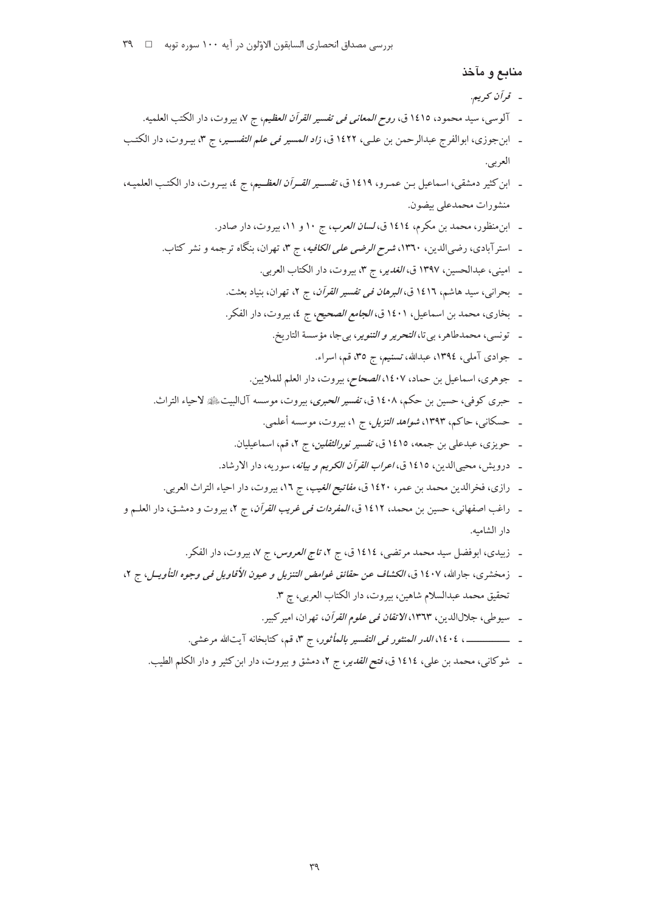## منابع و مآخذ

- قرآن کري**م.**
- ـ آلوسي، سيد محمود، ١٤١٥ ق، ر*وح المعاني في تفسير القرآن العظيم*، ج ٧، بيروت، دار الكتب العلميه.
- ـ ابن جوزي، ابوالفرج عبدالرحمن بن علي، ١٤٢٢ ق، *زاد المسير في علم التفسـير*، ج ٣، بيـروت، دار الكتـب العربي.
- ـ ابن كثير دمشقي، اسماعيل بـن عمـرو، ١٤١٩ ق، *تفسـير القـرأن العظـيم*، ج ٤، بيـروت، دار الكتـب العلميـه، منشورات محمدعلي بيضون.
	- ـ ابن منظور، محمد بن مكرم، ١٤١٤ق، *لسان العرب*، ج ١٠ و ١١، بيروت، دار صادر.
	- ـ استرآبادی، رضیالدین، ۱۳٦۰، *شرح الرضی علی الکافیه*، ج ۳، تهران، بنگاه ترجمه و نشر کتاب.
		- ـ اميني، عبدالحسين، ١٣٩٧ ق، *الغدير*، ج ٣، بيروت، دار الكتاب العربي.
		- ـ بحراني، سيد هاشم، ١٤١٦ ق، *البرهان في تفسير القرآن*، ج ٢، تهران، بنياد بعثت.
		- ـ بخاري، محمد بن اسماعيل، ١٤٠١ ق، *الجامع الصحيح، ج ٤، بيروت*، دار الفكر.
			- ـ تونسي، محمدطاهر، بي تا، *التحرير و التنوير*، بي جا، مؤسسة التاريخ.
				- ـ جوادي آملي، ١٣٩٤، عبدالله، تسنيم، ج ٣٥، قم، اسراء.
			- ـ جوهري، اسماعيل بن حماد، ١٤٠٧*، الصحاح*، بيروت، دار العلم للملايين.
	- ـ حبري كوفي، حسين بن حكم، ١٤٠٨ ق، ت*فسير الحبرى*، بيروت، موسسه آلالبيت ﷺ لاحياء التراث.
		- ـ حسکانی، حاکم، ۱۳۹۳، *شواهد التزیل، ج ۱*، بیروت، موسسه أعلمی.
		- ـ حويزي، عبدعلي بن جمعه، ١٤١٥ ق، *تفسير نورالثقلين*، ج ٢، قم، اسماعيليان.
		- ـ درويش، محيىالدين، ١٤١٥ ق، *اعراب القرآن الكريم و بيانه*، سوريه، دار الارشاد.
		- ـ رازي، فخرالدين محمد بن عمر، ١٤٢٠ ق، *مفاتيح الغيب*، ج ١٦، بيروت، دار احياء التراث العربي.
- ـ راغب اصفهاني، حسين بن محمد، ١٤١٢ ق، *المفردات في غريب القرآن*، ج ٢، بيروت و دمشـق، دار العلـم و دار الشاميه.
	- ـ زبیدی، ابوفضل سید محمد مرتضی، ١٤١٤ق، ج ٢، *تاج العروس*، ج ٧، بیروت، دار الفكر.
- ـ زمخشري، جارالله، ١٤٠٧ ق، *الكشاف عن حقائق غوامض التنزيل و عيون الأقاويل في وجوه التأويــل*، ج ٢، تحقيق محمد عبدالسلام شاهين، بيروت، دار الكتاب العربي، چ ٣.
	- ـ سيوطى، جلال الدين، ١٣٦٣، *الاتقان في علوم القرآن*، تهران، امير كبير.
	- ـ ــــــــــــــــــــــــ ، ١٤٠٤، *الدر المنثور في التفسير بالمأثور*، ج ٣، قم، كتابخانه آيتالله مرعشي.
	- ـ شوكاني، محمد بن علي، ١٤١٤ ق، *فتح القدي*ر، ج ٢، دمشق و بيروت، دار ابن كثير و دار الكلم الطيب.